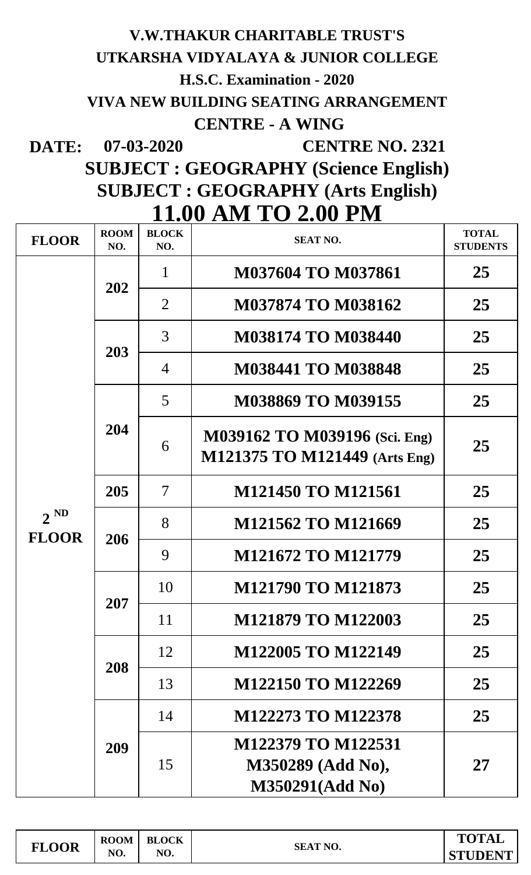## **DATE: 07-03-2020 V.W.THAKUR CHARITABLE TRUST'S UTKARSHA VIDYALAYA & JUNIOR COLLEGE H.S.C. Examination - 2020 VIVA NEW BUILDING SEATING ARRANGEMENT CENTRE - A WING CENTRE NO. 2321**

## **SUBJECT : GEOGRAPHY (Science English) 11.00 AM TO 2.00 PM SUBJECT : GEOGRAPHY (Arts English)**

| TIIDA ATIIT TA TIIT      |                    |                          |                                                                |                                 |  |  |  |
|--------------------------|--------------------|--------------------------|----------------------------------------------------------------|---------------------------------|--|--|--|
| <b>FLOOR</b>             | <b>ROOM</b><br>NO. | <b>BLOCK</b><br>NO.      | <b>SEAT NO.</b>                                                | <b>TOTAL</b><br><b>STUDENTS</b> |  |  |  |
| $2^{ND}$<br><b>FLOOR</b> | 202                | $\mathbf{1}$             | <b>M037604 TO M037861</b>                                      | 25                              |  |  |  |
|                          |                    | $\overline{2}$           | <b>M037874 TO M038162</b>                                      | 25                              |  |  |  |
|                          | 203                | 3                        | <b>M038174 TO M038440</b>                                      | 25                              |  |  |  |
|                          |                    | 4                        | <b>M038441 TO M038848</b>                                      | 25                              |  |  |  |
|                          | 204                | 5                        | <b>M038869 TO M039155</b>                                      | 25                              |  |  |  |
|                          |                    | 6                        | M039162 TO M039196 (Sci. Eng)<br>M121375 TO M121449 (Arts Eng) | 25                              |  |  |  |
|                          | 205                | $\overline{\mathcal{L}}$ | M121450 TO M121561                                             | 25                              |  |  |  |
|                          | 206                | 8                        | M121562 TO M121669                                             | 25                              |  |  |  |
|                          |                    | 9                        | M121672 TO M121779                                             | 25                              |  |  |  |
|                          | <b>207</b>         | 10                       | M121790 TO M121873                                             | 25                              |  |  |  |
|                          |                    | 11                       | M121879 TO M122003                                             | 25                              |  |  |  |
|                          | 208                | 12                       | M122005 TO M122149                                             | 25                              |  |  |  |
|                          |                    | 13                       | M122150 TO M122269                                             | 25                              |  |  |  |
|                          | 209                | 14                       | <b>M122273 TO M122378</b>                                      | 25                              |  |  |  |
|                          |                    | 15                       | M122379 TO M122531<br>M350289 (Add No),<br>M350291(Add No)     | 27                              |  |  |  |

| <b>FLOOR</b> | <b>ROOM</b> | <b>BLOCK</b> | <b>SEAT NO.</b> | <b>TOTAL</b>   |
|--------------|-------------|--------------|-----------------|----------------|
|              | NO.         | NO.          |                 | <b>STUDENT</b> |